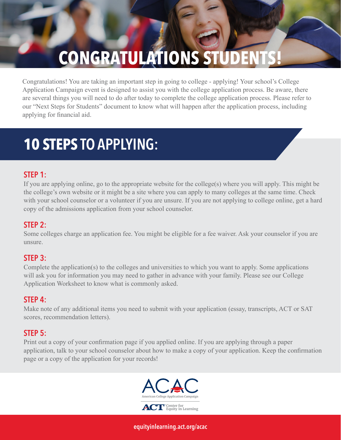# **CONGRATULATIONS STUDENT**

Congratulations! You are taking an important step in going to college - applying! Your school's College Application Campaign event is designed to assist you with the college application process. Be aware, there are several things you will need to do after today to complete the college application process. Please refer to our "Next Steps for Students" document to know what will happen after the application process, including applying for financial aid.

# **10 STEPS** TO APPLYING:

# STEP 1:

If you are applying online, go to the appropriate website for the college(s) where you will apply. This might be the college's own website or it might be a site where you can apply to many colleges at the same time. Check with your school counselor or a volunteer if you are unsure. If you are not applying to college online, get a hard copy of the admissions application from your school counselor.

### STEP 2:

Some colleges charge an application fee. You might be eligible for a fee waiver. Ask your counselor if you are unsure.

#### STEP 3:

Complete the application(s) to the colleges and universities to which you want to apply. Some applications will ask you for information you may need to gather in advance with your family. Please see our College Application Worksheet to know what is commonly asked.

#### STEP 4:

Make note of any additional items you need to submit with your application (essay, transcripts, ACT or SAT scores, recommendation letters).

### STEP 5:

Print out a copy of your confirmation page if you applied online. If you are applying through a paper application, talk to your school counselor about how to make a copy of your application. Keep the confirmation page or a copy of the application for your records!



[equityinlearning.act.org/acac](https://equityinlearning.act.org/acac)